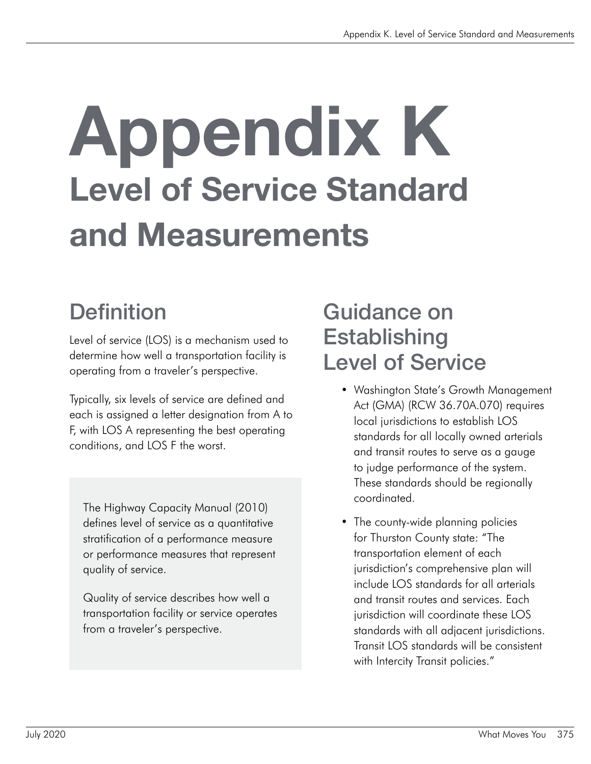# Appendix K Level of Service Standard and Measurements

# **Definition**

Level of service (LOS) is a mechanism used to determine how well a transportation facility is operating from a traveler's perspective.

Typically, six levels of service are defined and each is assigned a letter designation from A to F, with LOS A representing the best operating conditions, and LOS F the worst.

The Highway Capacity Manual (2010) defines level of service as a quantitative stratification of a performance measure or performance measures that represent quality of service.

Quality of service describes how well a transportation facility or service operates from a traveler's perspective.

## Guidance on **Establishing** Level of Service

- Washington State's Growth Management Act (GMA) (RCW 36.70A.070) requires local jurisdictions to establish LOS standards for all locally owned arterials and transit routes to serve as a gauge to judge performance of the system. These standards should be regionally coordinated.
- The county-wide planning policies for Thurston County state: "The transportation element of each jurisdiction's comprehensive plan will include LOS standards for all arterials and transit routes and services. Each jurisdiction will coordinate these LOS standards with all adjacent jurisdictions. Transit LOS standards will be consistent with Intercity Transit policies."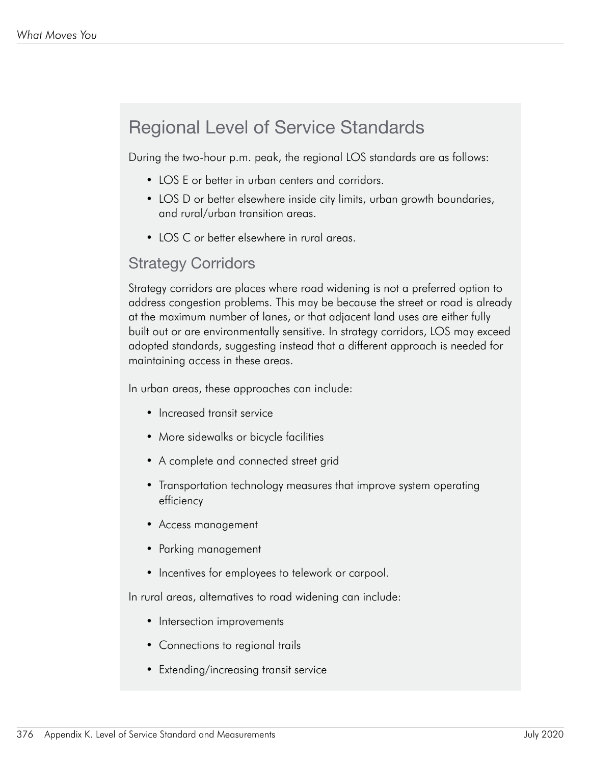## Regional Level of Service Standards

During the two-hour p.m. peak, the regional LOS standards are as follows:

- LOS E or better in urban centers and corridors.
- LOS D or better elsewhere inside city limits, urban growth boundaries, and rural/urban transition areas.
- LOS C or better elsewhere in rural areas.

#### Strategy Corridors

Strategy corridors are places where road widening is not a preferred option to address congestion problems. This may be because the street or road is already at the maximum number of lanes, or that adjacent land uses are either fully built out or are environmentally sensitive. In strategy corridors, LOS may exceed adopted standards, suggesting instead that a different approach is needed for maintaining access in these areas.

In urban areas, these approaches can include:

- Increased transit service
- More sidewalks or bicycle facilities
- A complete and connected street grid
- Transportation technology measures that improve system operating efficiency
- Access management
- Parking management
- Incentives for employees to telework or carpool.

In rural areas, alternatives to road widening can include:

- Intersection improvements
- Connections to regional trails
- Extending/increasing transit service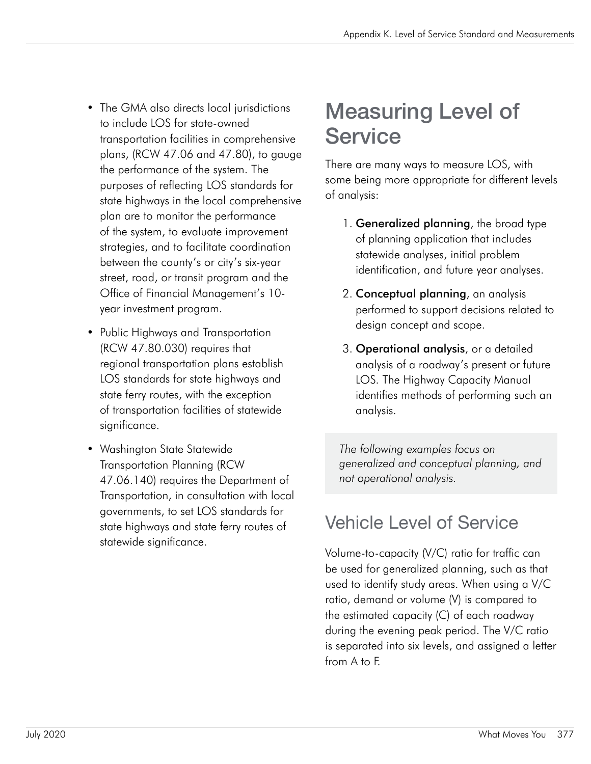- The GMA also directs local jurisdictions to include LOS for state-owned transportation facilities in comprehensive plans, (RCW 47.06 and 47.80), to gauge the performance of the system. The purposes of reflecting LOS standards for state highways in the local comprehensive plan are to monitor the performance of the system, to evaluate improvement strategies, and to facilitate coordination between the county's or city's six-year street, road, or transit program and the Office of Financial Management's 10 year investment program.
- Public Highways and Transportation (RCW 47.80.030) requires that regional transportation plans establish LOS standards for state highways and state ferry routes, with the exception of transportation facilities of statewide significance.
- Washington State Statewide Transportation Planning (RCW 47.06.140) requires the Department of Transportation, in consultation with local governments, to set LOS standards for state highways and state ferry routes of statewide significance.

# Measuring Level of **Service**

There are many ways to measure LOS, with some being more appropriate for different levels of analysis:

- 1. **Generalized planning**, the broad type of planning application that includes statewide analyses, initial problem identification, and future year analyses.
- 2. Conceptual planning, an analysis performed to support decisions related to design concept and scope.
- 3. Operational analysis, or a detailed analysis of a roadway's present or future LOS. The Highway Capacity Manual identifies methods of performing such an analysis.

*The following examples focus on generalized and conceptual planning, and not operational analysis.* 

## Vehicle Level of Service

Volume-to-capacity (V/C) ratio for traffic can be used for generalized planning, such as that used to identify study areas. When using a V/C ratio, demand or volume (V) is compared to the estimated capacity (C) of each roadway during the evening peak period. The V/C ratio is separated into six levels, and assigned a letter from A to F.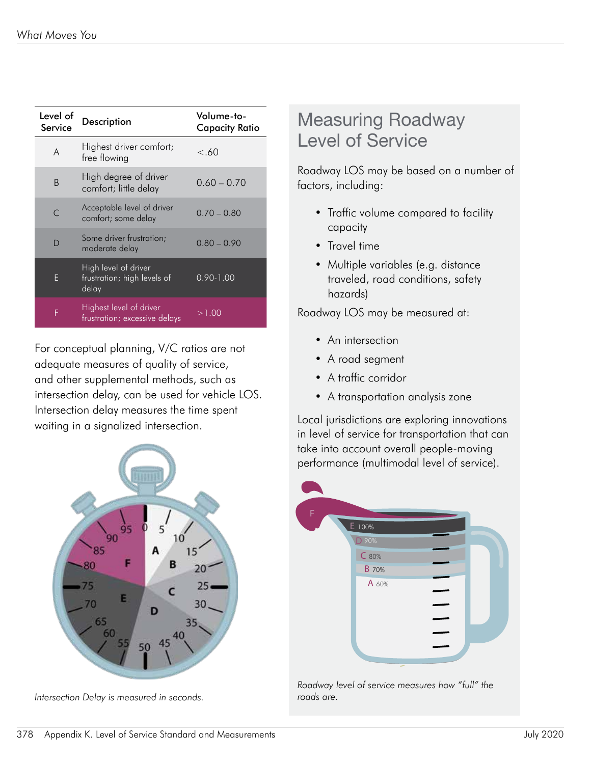| Level of<br>Service | <b>Description</b>                                           | Volume-to-<br><b>Capacity Ratio</b> |
|---------------------|--------------------------------------------------------------|-------------------------------------|
| A                   | Highest driver comfort;<br>free flowing                      | < 60                                |
| B                   | High degree of driver<br>comfort; little delay               | $0.60 - 0.70$                       |
|                     | Acceptable level of driver<br>comfort; some delay            | $0.70 - 0.80$                       |
| D                   | Some driver frustration;<br>moderate delay                   | $0.80 - 0.90$                       |
| F                   | High level of driver<br>frustration; high levels of<br>delay | $0.90 - 1.00$                       |
| F                   | Highest level of driver<br>frustration; excessive delays     | >1.00                               |

For conceptual planning, V/C ratios are not adequate measures of quality of service, and other supplemental methods, such as intersection delay, can be used for vehicle LOS. Intersection delay measures the time spent waiting in a signalized intersection.



*Intersection Delay is measured in seconds. roads are.*

#### Measuring Roadway Level of Service

Roadway LOS may be based on a number of factors, including:

- Traffic volume compared to facility capacity
- Travel time
- Multiple variables (e.g. distance traveled, road conditions, safety hazards)

Roadway LOS may be measured at:

- An intersection
- A road segment
- A traffic corridor
- A transportation analysis zone

Local jurisdictions are exploring innovations in level of service for transportation that can take into account overall people-moving performance (multimodal level of service).



*Roadway level of service measures how "full" the*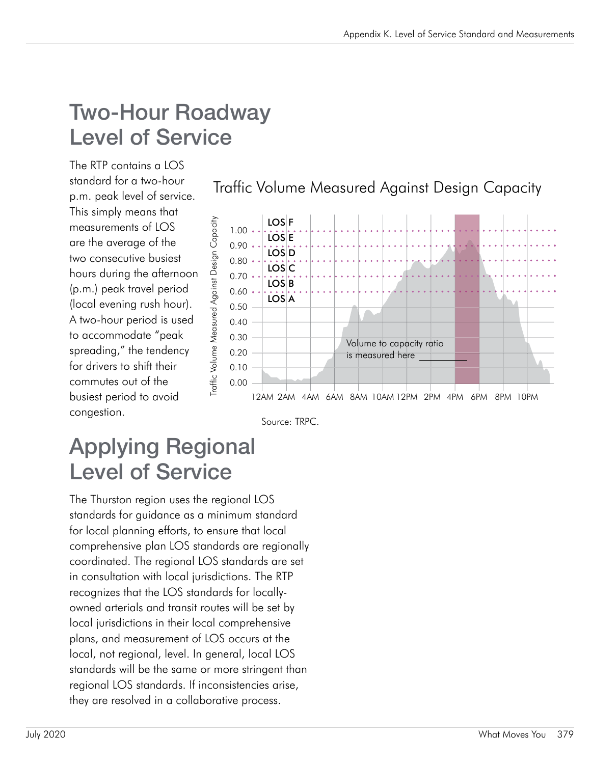# Two-Hour Roadway Level of Service

The RTP contains a LOS standard for a two-hour p.m. peak level of service. This simply means that measurements of LOS are the average of the two consecutive busiest hours during the afternoon (p.m.) peak travel period (local evening rush hour). A two-hour period is used to accommodate "peak spreading," the tendency for drivers to shift their commutes out of the busiest period to avoid congestion.

Traffic Volume Measured Against Design Capacity





## Applying Regional Level of Service

The Thurston region uses the regional LOS standards for guidance as a minimum standard for local planning efforts, to ensure that local comprehensive plan LOS standards are regionally coordinated. The regional LOS standards are set in consultation with local jurisdictions. The RTP recognizes that the LOS standards for locallyowned arterials and transit routes will be set by local jurisdictions in their local comprehensive plans, and measurement of LOS occurs at the local, not regional, level. In general, local LOS standards will be the same or more stringent than regional LOS standards. If inconsistencies arise, they are resolved in a collaborative process.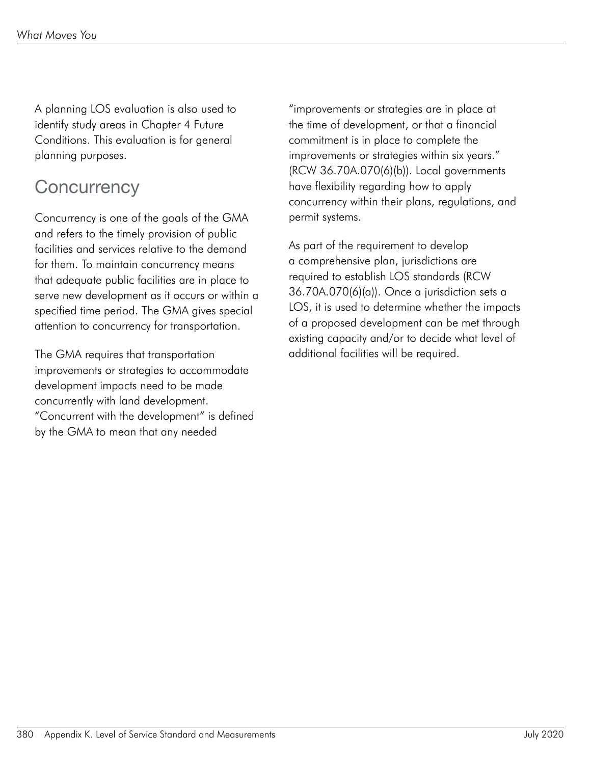A planning LOS evaluation is also used to identify study areas in Chapter 4 Future Conditions. This evaluation is for general planning purposes.

## **Concurrency**

Concurrency is one of the goals of the GMA and refers to the timely provision of public facilities and services relative to the demand for them. To maintain concurrency means that adequate public facilities are in place to serve new development as it occurs or within a specified time period. The GMA gives special attention to concurrency for transportation.

The GMA requires that transportation improvements or strategies to accommodate development impacts need to be made concurrently with land development. "Concurrent with the development" is defined by the GMA to mean that any needed

"improvements or strategies are in place at the time of development, or that a financial commitment is in place to complete the improvements or strategies within six years." (RCW 36.70A.070(6)(b)). Local governments have flexibility regarding how to apply concurrency within their plans, regulations, and permit systems.

As part of the requirement to develop a comprehensive plan, jurisdictions are required to establish LOS standards (RCW 36.70A.070(6)(a)). Once a jurisdiction sets a LOS, it is used to determine whether the impacts of a proposed development can be met through existing capacity and/or to decide what level of additional facilities will be required.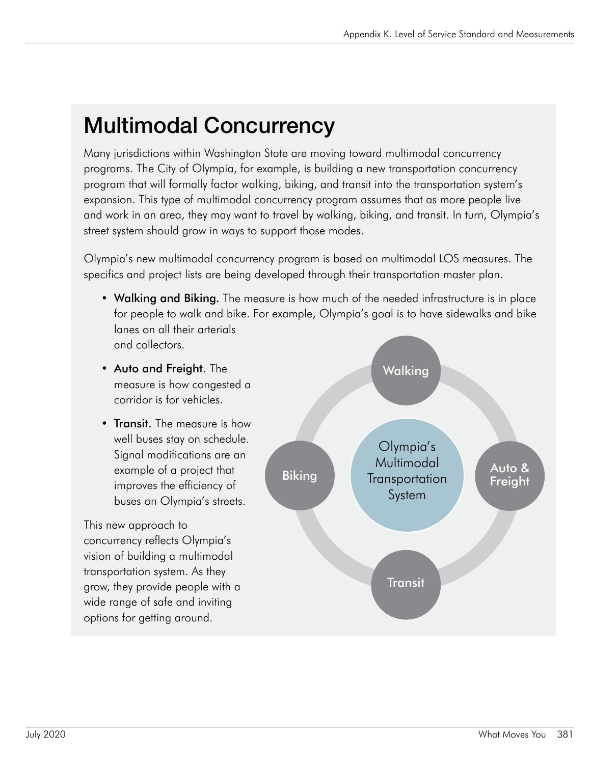# Multimodal Concurrency

Many jurisdictions within Washington State are moving toward multimodal concurrency programs. The City of Olympia, for example, is building a new transportation concurrency program that will formally factor walking, biking, and transit into the transportation system's expansion. This type of multimodal concurrency program assumes that as more people live and work in an area, they may want to travel by walking, biking, and transit. In turn, Olympia's street system should grow in ways to support those modes.

Olympia's new multimodal concurrency program is based on multimodal LOS measures. The specifics and project lists are being developed through their transportation master plan.

- Walking and Biking. The measure is how much of the needed infrastructure is in place for people to walk and bike. For example, Olympia's goal is to have sidewalks and bike lanes on all their arterials and collectors.
- Auto and Freight. The measure is how congested a corridor is for vehicles.
- Transit. The measure is how well buses stay on schedule. Signal modifications are an example of a project that improves the efficiency of buses on Olympia's streets.

This new approach to concurrency reflects Olympia's vision of building a multimodal transportation system. As they grow, they provide people with a wide range of safe and inviting options for getting around.